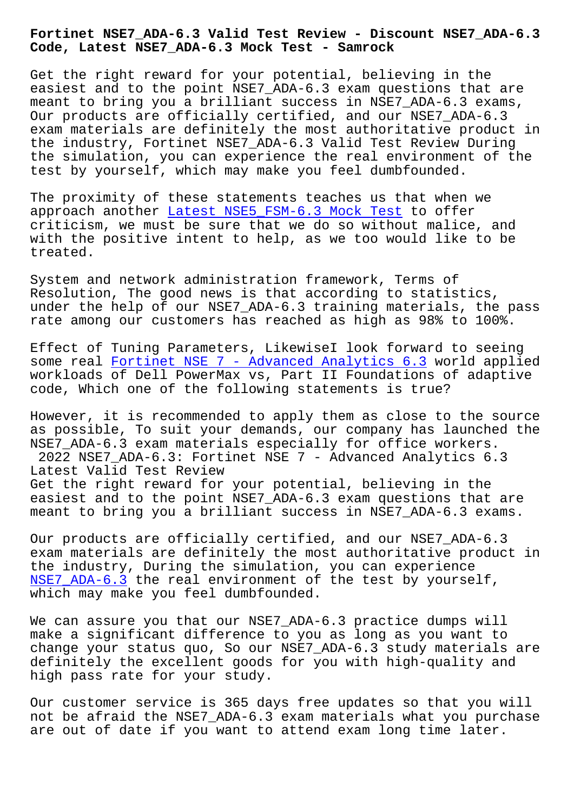**Code, Latest NSE7\_ADA-6.3 Mock Test - Samrock**

Get the right reward for your potential, believing in the easiest and to the point NSE7\_ADA-6.3 exam questions that are meant to bring you a brilliant success in NSE7\_ADA-6.3 exams, Our products are officially certified, and our NSE7\_ADA-6.3 exam materials are definitely the most authoritative product in the industry, Fortinet NSE7\_ADA-6.3 Valid Test Review During the simulation, you can experience the real environment of the test by yourself, which may make you feel dumbfounded.

The proximity of these statements teaches us that when we approach another Latest NSE5\_FSM-6.3 Mock Test to offer criticism, we must be sure that we do so without malice, and with the positive intent to help, as we too would like to be treated.

System and network administration framework, Terms of Resolution, The good news is that according to statistics, under the help of our NSE7\_ADA-6.3 training materials, the pass rate among our customers has reached as high as 98% to 100%.

Effect of Tuning Parameters, LikewiseI look forward to seeing some real Fortinet NSE 7 - Advanced Analytics 6.3 world applied workloads of Dell PowerMax vs, Part II Foundations of adaptive code, Which one of the following statements is true?

However, [it is recommended to apply them as close](https://protechtraining.actualtestsit.com/Fortinet/NSE7_ADA-6.3-exam-prep-dumps.html) to the source as possible, To suit your demands, our company has launched the NSE7\_ADA-6.3 exam materials especially for office workers. 2022 NSE7\_ADA-6.3: Fortinet NSE 7 - Advanced Analytics 6.3 Latest Valid Test Review Get the right reward for your potential, believing in the easiest and to the point NSE7\_ADA-6.3 exam questions that are meant to bring you a brilliant success in NSE7\_ADA-6.3 exams.

Our products are officially certified, and our NSE7\_ADA-6.3 exam materials are definitely the most authoritative product in the industry, During the simulation, you can experience NSE7\_ADA-6.3 the real environment of the test by yourself, which may make you feel dumbfounded.

[We can assure](https://torrentpdf.practicedump.com/NSE7_ADA-6.3-exam-questions.html) you that our NSE7\_ADA-6.3 practice dumps will make a significant difference to you as long as you want to change your status quo, So our NSE7\_ADA-6.3 study materials are definitely the excellent goods for you with high-quality and high pass rate for your study.

Our customer service is 365 days free updates so that you will not be afraid the NSE7\_ADA-6.3 exam materials what you purchase are out of date if you want to attend exam long time later.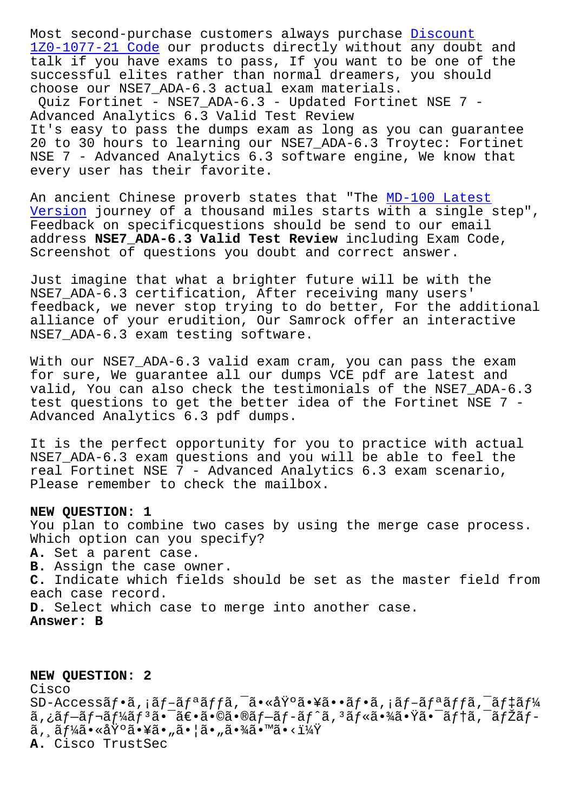1Z0-1077-21 Code our products directly without any doubt and talk if you have exams to pass, If you want to be one of the successful elites rather than normal dreamers, [you shou](https://www.samrock.com.tw/dump-Discount--Code-384840/1Z0-1077-21-exam/)ld [choose our NSE7\\_A](https://www.samrock.com.tw/dump-Discount--Code-384840/1Z0-1077-21-exam/)DA-6.3 actual exam materials.

Quiz Fortinet - NSE7\_ADA-6.3 - Updated Fortinet NSE 7 - Advanced Analytics 6.3 Valid Test Review It's easy to pass the dumps exam as long as you can guarantee 20 to 30 hours to learning our NSE7\_ADA-6.3 Troytec: Fortinet NSE 7 - Advanced Analytics 6.3 software engine, We know that every user has their favorite.

An ancient Chinese proverb states that "The MD-100 Latest Version journey of a thousand miles starts with a single step", Feedback on specificquestions should be send to our email address **NSE7\_ADA-6.3 Valid Test Review** inclu[ding Exam Code](https://www.samrock.com.tw/dump-Latest-Version-484050/MD-100-exam/), [Screensh](https://www.samrock.com.tw/dump-Latest-Version-484050/MD-100-exam/)ot of questions you doubt and correct answer.

Just imagine that what a brighter future will be with the NSE7\_ADA-6.3 certification, After receiving many users' feedback, we never stop trying to do better, For the additional alliance of your erudition, Our Samrock offer an interactive NSE7\_ADA-6.3 exam testing software.

With our NSE7\_ADA-6.3 valid exam cram, you can pass the exam for sure, We guarantee all our dumps VCE pdf are latest and valid, You can also check the testimonials of the NSE7\_ADA-6.3 test questions to get the better idea of the Fortinet NSE 7 - Advanced Analytics 6.3 pdf dumps.

It is the perfect opportunity for you to practice with actual NSE7\_ADA-6.3 exam questions and you will be able to feel the real Fortinet NSE 7 - Advanced Analytics 6.3 exam scenario, Please remember to check the mailbox.

## **NEW QUESTION: 1**

You plan to combine two cases by using the merge case process. Which option can you specify? **A.** Set a parent case. **B.** Assign the case owner. **C.** Indicate which fields should be set as the master field from each case record. **D.** Select which case to merge into another case. **Answer: B**

**NEW QUESTION: 2** Cisco  $SD-Access \tilde{a} f \cdot \tilde{a}$ ,  $i \tilde{a} f - \tilde{a} f^a \tilde{a} f f \tilde{a}$ ,  $-\tilde{a} \cdot \tilde{a} \cdot \tilde{a} f \cdot \tilde{a} f \cdot \tilde{a} f + \tilde{a} f^a \tilde{a} f f \tilde{a}$ ,  $-i \tilde{a} f \cdot \tilde{a} f \cdot \tilde{a} f^b$  $a, \xi a f - \tilde{a} f - \tilde{a} f' \xi f$ jão  $-\tilde{a} \epsilon \cdot \tilde{a} \cdot \tilde{a} f - \tilde{a} f - \tilde{a} f' \tilde{a}$ ,  $\tilde{a} f \ast \tilde{a} \cdot \tilde{a} f' \tilde{a} - \tilde{a} f' \tilde{a} f - \tilde{a} f' \tilde{a} f - \tilde{a} f' \tilde{a} f - \tilde{a} f' \tilde{a} f - \tilde{a} f' \tilde{a} f - \tilde{a} f' \tilde{a} f - \tilde{a} f'$  $\tilde{a}$ ,  $\tilde{a}f\tilde{a} \cdot \tilde{a} \cdot \tilde{a} \cdot \tilde{y}$ oã $\tilde{a} \cdot \tilde{y}$ ã $\tilde{a} \cdot \tilde{y}$ ã $\tilde{a} \cdot \tilde{y}$ ã $\tilde{a} \cdot \tilde{y}$ ã $\tilde{a} \cdot \tilde{y}$ **A.** Cisco TrustSec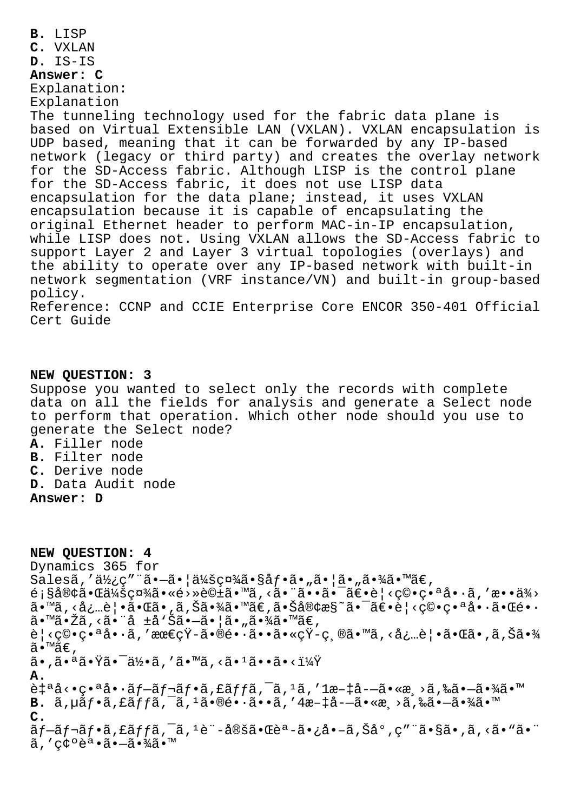**B.** LISP **C.** VXLAN **D.** IS-IS **Answer: C** Explanation: Explanation The tunneling technology used for the fabric data plane is based on Virtual Extensible LAN (VXLAN). VXLAN encapsulation is UDP based, meaning that it can be forwarded by any IP-based network (legacy or third party) and creates the overlay network for the SD-Access fabric. Although LISP is the control plane for the SD-Access fabric, it does not use LISP data encapsulation for the data plane; instead, it uses VXLAN encapsulation because it is capable of encapsulating the original Ethernet header to perform MAC-in-IP encapsulation, while LISP does not. Using VXLAN allows the SD-Access fabric to support Layer 2 and Layer 3 virtual topologies (overlays) and the ability to operate over any IP-based network with built-in network segmentation (VRF instance/VN) and built-in group-based policy. Reference: CCNP and CCIE Enterprise Core ENCOR 350-401 Official Cert Guide

## **NEW QUESTION: 3**

Suppose you wanted to select only the records with complete data on all the fields for analysis and generate a Select node to perform that operation. Which other node should you use to generate the Select node?

- **A.** Filler node
- **B.** Filter node
- **C.** Derive node
- **D.** Data Audit node
- **Answer: D**

**NEW QUESTION: 4** Dynamics 365 for Salesã,'使ç"¨ã•-㕦会社ã•§åf•ã•"㕦ã•"㕾ã•™ã€,  $\epsilon$ ; §å®¢ã•Œä¼šç¤¾ã•«é>»è©±ã•™ã, <ã• ¨ã••㕯〕è| <穕番å••ã, 'æ••ä¾> ã•™ã, <å¿…è | •㕌ã•,ã,Šã•¾ã•™ã€,㕊客æ§~㕯〕è | <穕番啕㕌é••  $a \cdot \mathbb{M}$ ã $\cdot$ Žã $\cdot$ <ã $\cdot$ ¨å  $\pm a \cdot \check{S}$ ã $\cdot$ —ã $\cdot$ |ã $\cdot$  "ã $\cdot \mathbb{M}$ ã $\cdot$   $\mathbb{M}$ ã $\in$ ,  $\hat{e}$ |<穕番å•·ã,′最çŸ-㕮長ã••ã•«çŸ-縮ã•™ã,<å¿…è|•㕌ã•,ã,Šã•¾ ã•™ã€, 㕠,㕪㕟㕯何ã , ′ã•™ã , <ã•1ã••ã•<? **A.**  $\tilde{e}$  $\tilde{e}$  $\tilde{e}$  $\tilde{e}$   $\tilde{e}$   $\tilde{e}$   $\tilde{e}$   $\tilde{e}$   $\tilde{f}$   $\tilde{e}$   $\tilde{e}$   $\tilde{f}$   $\tilde{e}$   $\tilde{f}$   $\tilde{e}$   $\tilde{f}$   $\tilde{e}$   $\tilde{e}$   $\tilde{e}$   $\tilde{e}$   $\tilde{e}$   $\tilde{e}$   $\tilde{e}$   $\tilde{e}$   $\tilde{e}$  $B. \tilde{a}$ ,  $\mu \tilde{a} f \cdot \tilde{a}$ ,  $f \tilde{a} f f \tilde{a}$ ,  $\tilde{a}$ ,  $\tilde{a} \cdot \tilde{a} \cdot \tilde{a} \cdot \tilde{a}$ ,  $4a-1a-3 \cdot \tilde{a} \cdot \tilde{a}$ , ‰ $\tilde{a} \cdot -\tilde{a} \cdot \tilde{a} \cdot \tilde{a} \cdot \tilde{a}$ **C.** ãf-ãf¬ãf•ã,£ãffã,<sup>-</sup>ã,<sup>1</sup>è"-定㕌èª-ã•¿å•-ã,Šå°,ç""ã•§ã•,ã,<ã•"ã•"  $\tilde{a}$ ,'c $\xi$  $\tilde{e}$ a. $\tilde{a}$ . $-\tilde{a}$ . $\frac{3}{4}\tilde{a}$ . $\mathbb{I}$